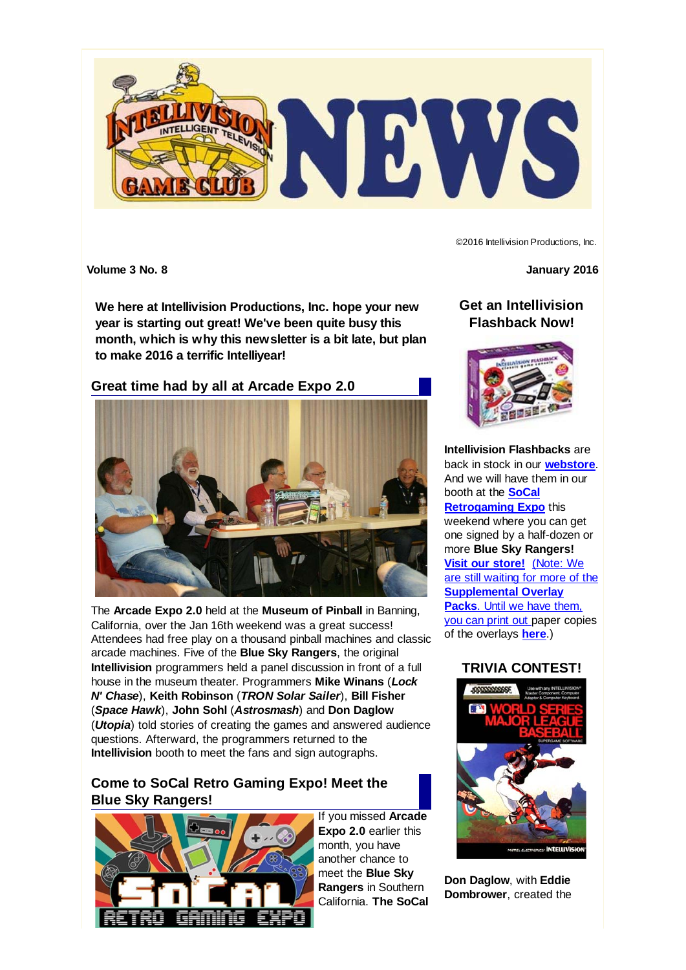

©2016 Intellivision Productions, Inc.

**Volume 3 No. 8 January 2016**

**We here at Intellivision Productions, Inc. hope your new year is starting out great! We've been quite busy this month, which is why this newsletter is a bit late, but plan to make 2016 a terrific Intelliyear!**

### **Great time had by all at Arcade Expo 2.0**



The **Arcade Expo 2.0** held at the **Museum of Pinball** in Banning, California, over the Jan 16th weekend was a great success! Attendees had free play on a thousand pinball machines and classic arcade machines. Five of the **Blue Sky Rangers**, the original **Intellivision** programmers held a panel discussion in front of a full house in the museum theater. Programmers **Mike Winans** (*Lock N' Chase*), **Keith Robinson** (*TRON Solar Sailer*), **Bill Fisher** (*Space Hawk*), **John Sohl** (*Astrosmash*) and **Don Daglow** (*Utopia*) told stories of creating the games and answered audience questions. Afterward, the programmers returned to the **Intellivision** booth to meet the fans and sign autographs.

# **Come to SoCal Retro Gaming Expo! Meet the Blue Sky Rangers!**



If you missed **Arcade Expo 2.0** earlier this month, you have another chance to meet the **Blue Sky Rangers** in Southern California. **The SoCal**

## **Get an Intellivision Flashback Now!**



**Intellivision Flashbacks** are back in stock in our **webstore**. And we will have them in our booth at the **SoCal Retrogaming Expo** this weekend where you can get one signed by a half-dozen or more **Blue Sky Rangers! Visit our store!** (Note: We are still waiting for more of the **Supplemental Overlay Packs**. Until we have them, you can print out paper copies of the overlays **here**.)

### **TRIVIA CONTEST!**



**Don Daglow**, with **Eddie Dombrower**, created the